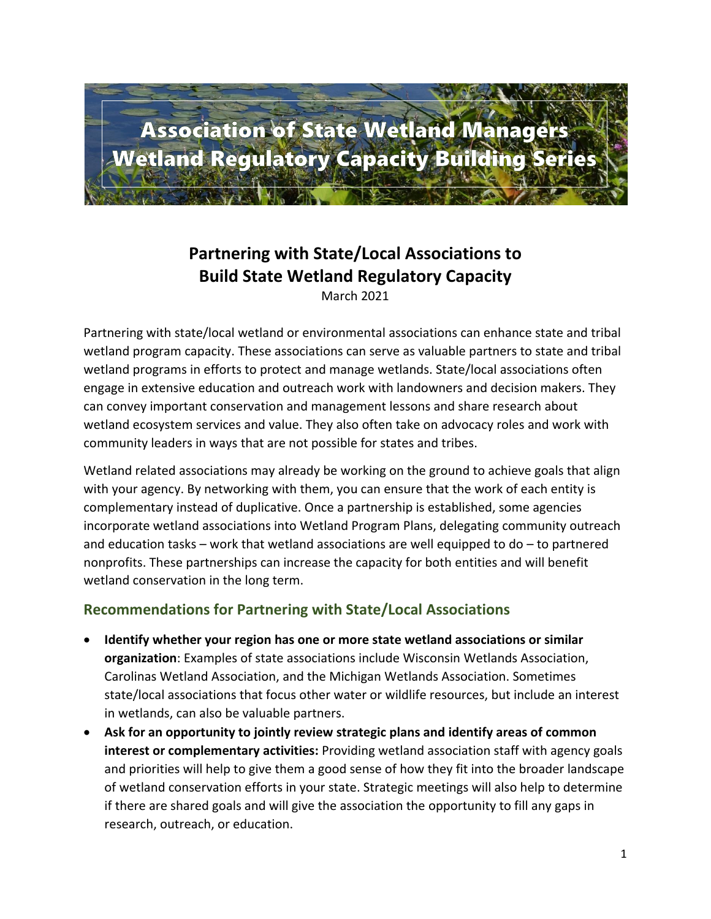

## **Partnering with State/Local Associations to Build State Wetland Regulatory Capacity**

March 2021

Partnering with state/local wetland or environmental associations can enhance state and tribal wetland program capacity. These associations can serve as valuable partners to state and tribal wetland programs in efforts to protect and manage wetlands. State/local associations often engage in extensive education and outreach work with landowners and decision makers. They can convey important conservation and management lessons and share research about wetland ecosystem services and value. They also often take on advocacy roles and work with community leaders in ways that are not possible for states and tribes.

Wetland related associations may already be working on the ground to achieve goals that align with your agency. By networking with them, you can ensure that the work of each entity is complementary instead of duplicative. Once a partnership is established, some agencies incorporate wetland associations into Wetland Program Plans, delegating community outreach and education tasks – work that wetland associations are well equipped to do – to partnered nonprofits. These partnerships can increase the capacity for both entities and will benefit wetland conservation in the long term.

## **Recommendations for Partnering with State/Local Associations**

- **Identify whether your region has one or more state wetland associations or similar organization**: Examples of state associations include Wisconsin Wetlands Association, Carolinas Wetland Association, and the Michigan Wetlands Association. Sometimes state/local associations that focus other water or wildlife resources, but include an interest in wetlands, can also be valuable partners.
- **Ask for an opportunity to jointly review strategic plans and identify areas of common interest or complementary activities:** Providing wetland association staff with agency goals and priorities will help to give them a good sense of how they fit into the broader landscape of wetland conservation efforts in your state. Strategic meetings will also help to determine if there are shared goals and will give the association the opportunity to fill any gaps in research, outreach, or education.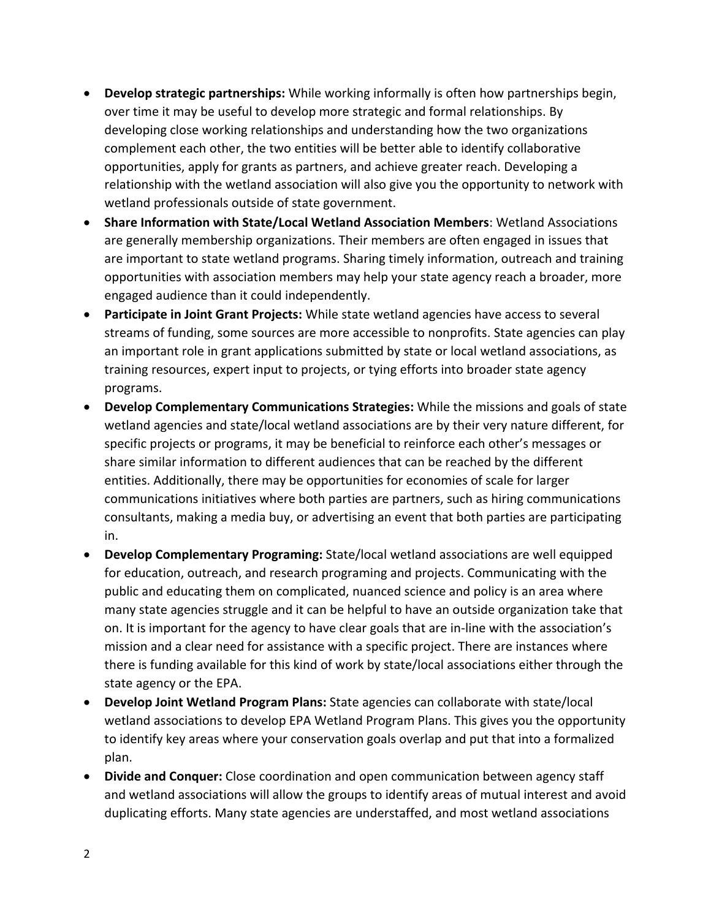- **Develop strategic partnerships:** While working informally is often how partnerships begin, over time it may be useful to develop more strategic and formal relationships. By developing close working relationships and understanding how the two organizations complement each other, the two entities will be better able to identify collaborative opportunities, apply for grants as partners, and achieve greater reach. Developing a relationship with the wetland association will also give you the opportunity to network with wetland professionals outside of state government.
- **Share Information with State/Local Wetland Association Members**: Wetland Associations are generally membership organizations. Their members are often engaged in issues that are important to state wetland programs. Sharing timely information, outreach and training opportunities with association members may help your state agency reach a broader, more engaged audience than it could independently.
- **Participate in Joint Grant Projects:** While state wetland agencies have access to several streams of funding, some sources are more accessible to nonprofits. State agencies can play an important role in grant applications submitted by state or local wetland associations, as training resources, expert input to projects, or tying efforts into broader state agency programs.
- **Develop Complementary Communications Strategies:** While the missions and goals of state wetland agencies and state/local wetland associations are by their very nature different, for specific projects or programs, it may be beneficial to reinforce each other's messages or share similar information to different audiences that can be reached by the different entities. Additionally, there may be opportunities for economies of scale for larger communications initiatives where both parties are partners, such as hiring communications consultants, making a media buy, or advertising an event that both parties are participating in.
- **Develop Complementary Programing:** State/local wetland associations are well equipped for education, outreach, and research programing and projects. Communicating with the public and educating them on complicated, nuanced science and policy is an area where many state agencies struggle and it can be helpful to have an outside organization take that on. It is important for the agency to have clear goals that are in-line with the association's mission and a clear need for assistance with a specific project. There are instances where there is funding available for this kind of work by state/local associations either through the state agency or the EPA.
- **Develop Joint Wetland Program Plans:** State agencies can collaborate with state/local wetland associations to develop EPA Wetland Program Plans. This gives you the opportunity to identify key areas where your conservation goals overlap and put that into a formalized plan.
- **Divide and Conquer:** Close coordination and open communication between agency staff and wetland associations will allow the groups to identify areas of mutual interest and avoid duplicating efforts. Many state agencies are understaffed, and most wetland associations